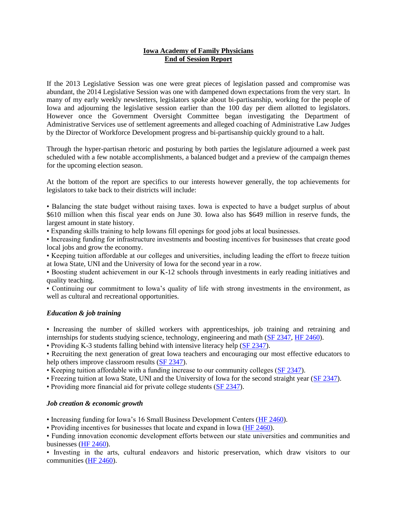### **Iowa Academy of Family Physicians End of Session Report**

If the 2013 Legislative Session was one were great pieces of legislation passed and compromise was abundant, the 2014 Legislative Session was one with dampened down expectations from the very start. In many of my early weekly newsletters, legislators spoke about bi-partisanship, working for the people of Iowa and adjourning the legislative session earlier than the 100 day per diem allotted to legislators. However once the Government Oversight Committee began investigating the Department of Administrative Services use of settlement agreements and alleged coaching of Administrative Law Judges by the Director of Workforce Development progress and bi-partisanship quickly ground to a halt.

Through the hyper-partisan rhetoric and posturing by both parties the legislature adjourned a week past scheduled with a few notable accomplishments, a balanced budget and a preview of the campaign themes for the upcoming election season.

At the bottom of the report are specifics to our interests however generally, the top achievements for legislators to take back to their districts will include:

• Balancing the state budget without raising taxes. Iowa is expected to have a budget surplus of about \$610 million when this fiscal year ends on June 30. Iowa also has \$649 million in reserve funds, the largest amount in state history.

• Expanding skills training to help Iowans fill openings for good jobs at local businesses.

• Increasing funding for infrastructure investments and boosting incentives for businesses that create good local jobs and grow the economy.

• Keeping tuition affordable at our colleges and universities, including leading the effort to freeze tuition at Iowa State, UNI and the University of Iowa for the second year in a row.

• Boosting student achievement in our K-12 schools through investments in early reading initiatives and quality teaching.

• Continuing our commitment to Iowa's quality of life with strong investments in the environment, as well as cultural and recreational opportunities.

#### *Education & job training*

• Increasing the number of skilled workers with apprenticeships, job training and retraining and internships for students studying science, technology, engineering and math [\(SF 2347,](http://click.icptrack.com/icp/relay.php?r=82717844&msgid=652198&act=TVEH&c=595864&destination=http%3A%2F%2Fcoolice.legis.iowa.gov%2FCool-ICE%2Fdefault.asp%3FCategory%3Dbillinfo%26Service%3DBillbook%26frame%3D1%26GA%3D85%26hbill%3DSF2347) [HF 2460\)](http://click.icptrack.com/icp/relay.php?r=82717844&msgid=652198&act=TVEH&c=595864&destination=http%3A%2F%2Fcoolice.legis.iowa.gov%2FCool-ICE%2Fdefault.asp%3FCategory%3Dbillinfo%26Service%3DBillbook%26frame%3D1%26GA%3D85%26hbill%3DHF2460).

• Providing K-3 students falling behind with intensive literacy help [\(SF 2347\)](http://click.icptrack.com/icp/relay.php?r=82717844&msgid=652198&act=TVEH&c=595864&destination=http%3A%2F%2Fcoolice.legis.iowa.gov%2FCool-ICE%2Fdefault.asp%3FCategory%3Dbillinfo%26Service%3DBillbook%26frame%3D1%26GA%3D85%26hbill%3DSF2347).

• Recruiting the next generation of great Iowa teachers and encouraging our most effective educators to help others improve classroom results [\(SF 2347\)](http://click.icptrack.com/icp/relay.php?r=82717844&msgid=652198&act=TVEH&c=595864&destination=http%3A%2F%2Fcoolice.legis.iowa.gov%2FCool-ICE%2Fdefault.asp%3FCategory%3Dbillinfo%26Service%3DBillbook%26frame%3D1%26GA%3D85%26hbill%3DSF2347).

• Keeping tuition affordable with a funding increase to our community colleges [\(SF 2347\)](http://click.icptrack.com/icp/relay.php?r=82717844&msgid=652198&act=TVEH&c=595864&destination=http%3A%2F%2Fcoolice.legis.iowa.gov%2FCool-ICE%2Fdefault.asp%3FCategory%3Dbillinfo%26Service%3DBillbook%26frame%3D1%26GA%3D85%26hbill%3DSF2347).

• Freezing tuition at Iowa State, UNI and the University of Iowa for the second straight year [\(SF 2347\)](http://click.icptrack.com/icp/relay.php?r=82717844&msgid=652198&act=TVEH&c=595864&destination=http%3A%2F%2Fcoolice.legis.iowa.gov%2FCool-ICE%2Fdefault.asp%3FCategory%3Dbillinfo%26Service%3DBillbook%26frame%3D1%26GA%3D85%26hbill%3DSF2347).

• Providing more financial aid for private college students [\(SF 2347\)](http://click.icptrack.com/icp/relay.php?r=82717844&msgid=652198&act=TVEH&c=595864&destination=http%3A%2F%2Fcoolice.legis.iowa.gov%2FCool-ICE%2Fdefault.asp%3FCategory%3Dbillinfo%26Service%3DBillbook%26frame%3D1%26GA%3D85%26hbill%3DSF2347).

#### *Job creation & economic growth*

• Increasing funding for Iowa's 16 Small Business Development Centers [\(HF 2460\)](http://click.icptrack.com/icp/relay.php?r=82717844&msgid=652198&act=TVEH&c=595864&destination=http%3A%2F%2Fcoolice.legis.iowa.gov%2FCool-ICE%2Fdefault.asp%3FCategory%3Dbillinfo%26Service%3DBillbook%26frame%3D1%26GA%3D85%26hbill%3DHF2460).

• Providing incentives for businesses that locate and expand in Iowa [\(HF 2460\)](http://click.icptrack.com/icp/relay.php?r=82717844&msgid=652198&act=TVEH&c=595864&destination=http%3A%2F%2Fcoolice.legis.iowa.gov%2FCool-ICE%2Fdefault.asp%3FCategory%3Dbillinfo%26Service%3DBillbook%26frame%3D1%26GA%3D85%26hbill%3DHF2460).

• Funding innovation economic development efforts between our state universities and communities and businesses [\(HF 2460\)](http://click.icptrack.com/icp/relay.php?r=82717844&msgid=652198&act=TVEH&c=595864&destination=http%3A%2F%2Fcoolice.legis.iowa.gov%2FCool-ICE%2Fdefault.asp%3FCategory%3Dbillinfo%26Service%3DBillbook%26frame%3D1%26GA%3D85%26hbill%3DHF2460).

• Investing in the arts, cultural endeavors and historic preservation, which draw visitors to our communities [\(HF 2460\)](http://click.icptrack.com/icp/relay.php?r=82717844&msgid=652198&act=TVEH&c=595864&destination=http%3A%2F%2Fcoolice.legis.iowa.gov%2FCool-ICE%2Fdefault.asp%3FCategory%3Dbillinfo%26Service%3DBillbook%26frame%3D1%26GA%3D85%26hbill%3DHF2460).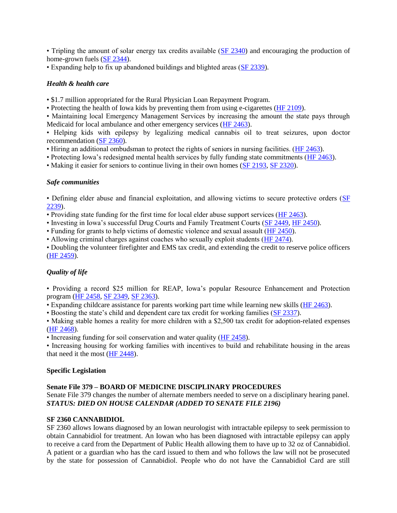• Tripling the amount of solar energy tax credits available [\(SF 2340\)](http://click.icptrack.com/icp/relay.php?r=82717844&msgid=652198&act=TVEH&c=595864&destination=http%3A%2F%2Fcoolice.legis.iowa.gov%2FCool-ICE%2Fdefault.asp%3FCategory%3Dbillinfo%26Service%3DBillbook%26frame%3D1%26GA%3D85%26hbill%3DSF2340) and encouraging the production of home-grown fuels [\(SF 2344\)](http://click.icptrack.com/icp/relay.php?r=82717844&msgid=652198&act=TVEH&c=595864&destination=http%3A%2F%2Fcoolice.legis.iowa.gov%2FCool-ICE%2Fdefault.asp%3FCategory%3Dbillinfo%26Service%3DBillbook%26frame%3D1%26GA%3D85%26hbill%3DSF2344).

• Expanding help to fix up abandoned buildings and blighted areas [\(SF 2339\)](http://click.icptrack.com/icp/relay.php?r=82717844&msgid=652198&act=TVEH&c=595864&destination=http%3A%2F%2Fcoolice.legis.iowa.gov%2FCool-ICE%2Fdefault.asp%3FCategory%3Dbillinfo%26Service%3DBillbook%26frame%3D1%26GA%3D85%26hbill%3DSF2339).

## *Health & health care*

• \$1.7 million appropriated for the Rural Physician Loan Repayment Program.

• Protecting the health of Iowa kids by preventing them from using e-cigarettes [\(HF 2109\)](http://click.icptrack.com/icp/relay.php?r=82717844&msgid=652198&act=TVEH&c=595864&destination=http%3A%2F%2Fcoolice.legis.iowa.gov%2FCool-ICE%2Fdefault.asp%3FCategory%3Dbillinfo%26Service%3DBillbook%26frame%3D1%26GA%3D85%26hbill%3DHF2109).

• Maintaining local Emergency Management Services by increasing the amount the state pays through Medicaid for local ambulance and other emergency services [\(HF 2463\)](http://click.icptrack.com/icp/relay.php?r=82717844&msgid=652198&act=TVEH&c=595864&destination=http%3A%2F%2Fcoolice.legis.iowa.gov%2FCool-ICE%2Fdefault.asp%3FCategory%3Dbillinfo%26Service%3DBillbook%26frame%3D1%26GA%3D85%26hbill%3DHF2463).

• Helping kids with epilepsy by legalizing medical cannabis oil to treat seizures, upon doctor recommendation [\(SF 2360\)](http://click.icptrack.com/icp/relay.php?r=82717844&msgid=652198&act=TVEH&c=595864&destination=http%3A%2F%2Fcoolice.legis.iowa.gov%2FCool-ICE%2Fdefault.asp%3FCategory%3Dbillinfo%26Service%3DBillbook%26frame%3D1%26GA%3D85%26hbill%3DSF2360).

• Hiring an additional ombudsman to protect the rights of seniors in nursing facilities. [\(HF 2463\)](http://click.icptrack.com/icp/relay.php?r=82717844&msgid=652198&act=TVEH&c=595864&destination=http%3A%2F%2Fcoolice.legis.iowa.gov%2FCool-ICE%2Fdefault.asp%3FCategory%3Dbillinfo%26Service%3DBillbook%26frame%3D1%26GA%3D85%26hbill%3DHF2463).

• Protecting Iowa's redesigned mental health services by fully funding state commitments [\(HF 2463\)](http://click.icptrack.com/icp/relay.php?r=82717844&msgid=652198&act=TVEH&c=595864&destination=http%3A%2F%2Fcoolice.legis.iowa.gov%2FCool-ICE%2Fdefault.asp%3FCategory%3Dbillinfo%26Service%3DBillbook%26frame%3D1%26GA%3D85%26hbill%3DHF2463).

• Making it easier for seniors to continue living in their own homes [\(SF 2193,](http://click.icptrack.com/icp/relay.php?r=82717844&msgid=652198&act=TVEH&c=595864&destination=http%3A%2F%2Fcoolice.legis.iowa.gov%2FCool-ICE%2Fdefault.asp%3FCategory%3Dbillinfo%26Service%3DBillbook%26frame%3D1%26GA%3D85%26hbill%3DSF2193) [SF 2320\)](http://click.icptrack.com/icp/relay.php?r=82717844&msgid=652198&act=TVEH&c=595864&destination=http%3A%2F%2Fcoolice.legis.iowa.gov%2FCool-ICE%2Fdefault.asp%3FCategory%3Dbillinfo%26Service%3DBillbook%26frame%3D1%26GA%3D85%26hbill%3DSF2320).

### *Safe communities*

• Defining elder abuse and financial exploitation, and allowing victims to secure protective orders [\(SF](http://click.icptrack.com/icp/relay.php?r=82717844&msgid=652198&act=TVEH&c=595864&destination=http%3A%2F%2Fcoolice.legis.iowa.gov%2FCool-ICE%2Fdefault.asp%3FCategory%3Dbillinfo%26Service%3DBillbook%26frame%3D1%26GA%3D85%26hbill%3DSF2239)  [2239\)](http://click.icptrack.com/icp/relay.php?r=82717844&msgid=652198&act=TVEH&c=595864&destination=http%3A%2F%2Fcoolice.legis.iowa.gov%2FCool-ICE%2Fdefault.asp%3FCategory%3Dbillinfo%26Service%3DBillbook%26frame%3D1%26GA%3D85%26hbill%3DSF2239).

• Providing state funding for the first time for local elder abuse support services [\(HF 2463\)](http://click.icptrack.com/icp/relay.php?r=82717844&msgid=652198&act=TVEH&c=595864&destination=http%3A%2F%2Fcoolice.legis.iowa.gov%2FCool-ICE%2Fdefault.asp%3FCategory%3Dbillinfo%26Service%3DBillbook%26frame%3D1%26GA%3D85%26hbill%3DHF2463).

• Investing in Iowa's successful Drug Courts and Family Treatment Courts [\(SF 2449,](http://click.icptrack.com/icp/relay.php?r=82717844&msgid=652198&act=TVEH&c=595864&destination=http%3A%2F%2Fcoolice.legis.iowa.gov%2FCool-ICE%2Fdefault.asp%3FCategory%3Dbillinfo%26Service%3DBillbook%26frame%3D1%26GA%3D85%26hbill%3DSF2449) [HF 2450\)](http://click.icptrack.com/icp/relay.php?r=82717844&msgid=652198&act=TVEH&c=595864&destination=http%3A%2F%2Fcoolice.legis.iowa.gov%2FCool-ICE%2Fdefault.asp%3FCategory%3Dbillinfo%26Service%3DBillbook%26frame%3D1%26GA%3D85%26hbill%3DHF2450).

• Funding for grants to help victims of domestic violence and sexual assault [\(HF 2450\)](http://click.icptrack.com/icp/relay.php?r=82717844&msgid=652198&act=TVEH&c=595864&destination=http%3A%2F%2Fcoolice.legis.iowa.gov%2FCool-ICE%2Fdefault.asp%3FCategory%3Dbillinfo%26Service%3DBillbook%26frame%3D1%26GA%3D85%26hbill%3DHF2450).

• Allowing criminal charges against coaches who sexually exploit students [\(HF 2474\)](http://click.icptrack.com/icp/relay.php?r=82717844&msgid=652198&act=TVEH&c=595864&destination=http%3A%2F%2Fcoolice.legis.iowa.gov%2FCool-ICE%2Fdefault.asp%3FCategory%3Dbillinfo%26Service%3DBillbook%26frame%3D1%26GA%3D85%26hbill%3DHF2474).

• Doubling the volunteer firefighter and EMS tax credit, and extending the credit to reserve police officers [\(HF 2459\)](http://click.icptrack.com/icp/relay.php?r=82717844&msgid=652198&act=TVEH&c=595864&destination=http%3A%2F%2Fcoolice.legis.iowa.gov%2FCool-ICE%2Fdefault.asp%3FCategory%3Dbillinfo%26Service%3DBillbook%26frame%3D1%26GA%3D85%26hbill%3DHF2459).

# *Quality of life*

• Providing a record \$25 million for REAP, Iowa's popular Resource Enhancement and Protection program [\(HF 2458,](http://click.icptrack.com/icp/relay.php?r=82717844&msgid=652198&act=TVEH&c=595864&destination=http%3A%2F%2Fcoolice.legis.iowa.gov%2FCool-ICE%2Fdefault.asp%3FCategory%3Dbillinfo%26Service%3DBillbook%26frame%3D1%26GA%3D85%26hbill%3DHF2458) [SF 2349,](http://click.icptrack.com/icp/relay.php?r=82717844&msgid=652198&act=TVEH&c=595864&destination=http%3A%2F%2Fcoolice.legis.iowa.gov%2FCool-ICE%2Fdefault.asp%3FCategory%3Dbillinfo%26Service%3DBillbook%26frame%3D1%26GA%3D85%26hbill%3DSF2349) [SF 2363\)](http://click.icptrack.com/icp/relay.php?r=82717844&msgid=652198&act=TVEH&c=595864&destination=http%3A%2F%2Fcoolice.legis.iowa.gov%2FCool-ICE%2Fdefault.asp%3FCategory%3Dbillinfo%26Service%3DBillbook%26frame%3D1%26GA%3D85%26hbill%3DSF2363).

• Expanding childcare assistance for parents working part time while learning new skills [\(HF 2463\)](http://click.icptrack.com/icp/relay.php?r=82717844&msgid=652198&act=TVEH&c=595864&destination=http%3A%2F%2Fcoolice.legis.iowa.gov%2FCool-ICE%2Fdefault.asp%3FCategory%3Dbillinfo%26Service%3DBillbook%26frame%3D1%26GA%3D85%26hbill%3DHF2463).

• Boosting the state's child and dependent care tax credit for working families [\(SF 2337\)](http://click.icptrack.com/icp/relay.php?r=82717844&msgid=652198&act=TVEH&c=595864&destination=http%3A%2F%2Fcoolice.legis.iowa.gov%2FCool-ICE%2Fdefault.asp%3FCategory%3Dbillinfo%26Service%3DBillbook%26frame%3D1%26GA%3D85%26hbill%3DSF2337).

• Making stable homes a reality for more children with a \$2,500 tax credit for adoption-related expenses [\(HF 2468\)](http://click.icptrack.com/icp/relay.php?r=82717844&msgid=652198&act=TVEH&c=595864&destination=http%3A%2F%2Fcoolice.legis.iowa.gov%2FCool-ICE%2Fdefault.asp%3FCategory%3Dbillinfo%26Service%3DBillbook%26frame%3D1%26GA%3D85%26hbill%3DHF2468).

• Increasing funding for soil conservation and water quality [\(HF 2458\)](http://click.icptrack.com/icp/relay.php?r=82717844&msgid=652198&act=TVEH&c=595864&destination=http%3A%2F%2Fcoolice.legis.iowa.gov%2FCool-ICE%2Fdefault.asp%3FCategory%3Dbillinfo%26Service%3DBillbook%26frame%3D1%26GA%3D85%26hbill%3DHF2458).

• Increasing housing for working families with incentives to build and rehabilitate housing in the areas that need it the most [\(HF 2448\)](http://click.icptrack.com/icp/relay.php?r=82717844&msgid=652198&act=TVEH&c=595864&destination=http%3A%2F%2Fcoolice.legis.iowa.gov%2FCool-ICE%2Fdefault.asp%3FCategory%3Dbillinfo%26Service%3DBillbook%26frame%3D1%26GA%3D85%26hbill%3DHF2448).

### **Specific Legislation**

### **Senate File 379 – BOARD OF MEDICINE DISCIPLINARY PROCEDURES**

Senate File 379 changes the number of alternate members needed to serve on a disciplinary hearing panel. *STATUS: DIED ON HOUSE CALENDAR (ADDED TO SENATE FILE 2196)*

### **SF 2360 CANNABIDIOL**

SF 2360 allows Iowans diagnosed by an Iowan neurologist with intractable epilepsy to seek permission to obtain Cannabidiol for treatment. An Iowan who has been diagnosed with intractable epilepsy can apply to receive a card from the Department of Public Health allowing them to have up to 32 oz of Cannabidiol. A patient or a guardian who has the card issued to them and who follows the law will not be prosecuted by the state for possession of Cannabidiol. People who do not have the Cannabidiol Card are still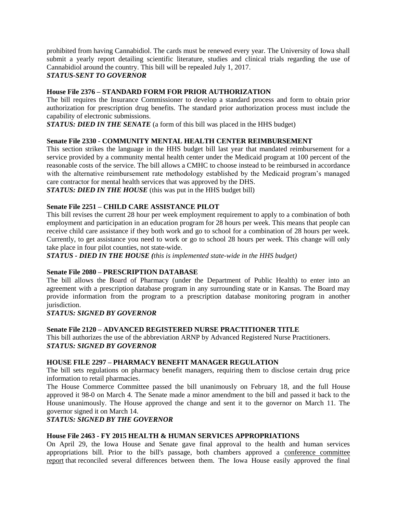prohibited from having Cannabidiol. The cards must be renewed every year. The University of Iowa shall submit a yearly report detailing scientific literature, studies and clinical trials regarding the use of Cannabidiol around the country. This bill will be repealed July 1, 2017. *STATUS-SENT TO GOVERNOR*

### **House File 2376 – STANDARD FORM FOR PRIOR AUTHORIZATION**

The bill requires the Insurance Commissioner to develop a standard process and form to obtain prior authorization for prescription drug benefits. The standard prior authorization process must include the capability of electronic submissions.

*STATUS: DIED IN THE SENATE* (a form of this bill was placed in the HHS budget)

### **Senate File 2330 - COMMUNITY MENTAL HEALTH CENTER REIMBURSEMENT**

This section strikes the language in the HHS budget bill last year that mandated reimbursement for a service provided by a community mental health center under the Medicaid program at 100 percent of the reasonable costs of the service. The bill allows a CMHC to choose instead to be reimbursed in accordance with the alternative reimbursement rate methodology established by the Medicaid program's managed care contractor for mental health services that was approved by the DHS.

*STATUS: DIED IN THE HOUSE* (this was put in the HHS budget bill)

### **Senate File 2251 – CHILD CARE ASSISTANCE PILOT**

This bill revises the current 28 hour per week employment requirement to apply to a combination of both employment and participation in an education program for 28 hours per week. This means that people can receive child care assistance if they both work and go to school for a combination of 28 hours per week. Currently, to get assistance you need to work or go to school 28 hours per week. This change will only take place in four pilot counties, not state-wide.

*STATUS - DIED IN THE HOUSE (this is implemented state-wide in the HHS budget)*

## **Senate File 2080 – PRESCRIPTION DATABASE**

The bill allows the Board of Pharmacy (under the Department of Public Health) to enter into an agreement with a prescription database program in any surrounding state or in Kansas. The Board may provide information from the program to a prescription database monitoring program in another jurisdiction.

#### *STATUS: SIGNED BY GOVERNOR*

### **Senate File 2120 – ADVANCED REGISTERED NURSE PRACTITIONER TITLE**

This bill authorizes the use of the abbreviation ARNP by Advanced Registered Nurse Practitioners. *STATUS: SIGNED BY GOVERNOR*

### **HOUSE FILE 2297 – PHARMACY BENEFIT MANAGER REGULATION**

The bill sets regulations on pharmacy benefit managers, requiring them to disclose certain drug price information to retail pharmacies.

The House Commerce Committee passed the bill unanimously on February 18, and the full House approved it 98-0 on March 4. The Senate made a minor amendment to the bill and passed it back to the House unanimously. The House approved the change and sent it to the governor on March 11. The governor signed it on March 14.

### *STATUS: SIGNED BY THE GOVERNOR*

### **House File 2463 - FY 2015 HEALTH & HUMAN SERVICES APPROPRIATIONS**

On April 29, the Iowa House and Senate gave final approval to the health and human services appropriations bill. Prior to the bill's passage, both chambers approved a [conference committee](http://r20.rs6.net/tn.jsp?f=001QRDgP9LGcHjAD5Rsx5Qb66XLCseHTN24dun2IOShuSggqJwRd4XZUZiWutajKOOQ35VCppnNdUXTFvWrwItxj70uqY-Jmihi55N0ZDsjzuvICIcybKce7TV-9nZdwjpWMndl2G9HeJtn1LtumGDSr9P5E2GGBVyezaa9iBJweuvtcfzGTw5LyeKob1l2J0rtb5K-njjU97sBn8snsXBTVwsde8auMZxW4DzveN-TxEqmEwbFvvAhottPBa30vUyuZ5o_7Wz6LGX-0VV8qe79EXOTCr2J-IwJg3L2jtN8D8jdNHBF6TY22Q==&c=TvmpIbok5fv0H9piqfJ_gBeCiaA9IoNoPXES3v3e3iAa66yITDg-hA==&ch=92KSeU-sUSYP-lCrcBWDH1nSSOGX1XawKe3nQ1DQrAWHBJ9dklA4KA==)  [report](http://r20.rs6.net/tn.jsp?f=001QRDgP9LGcHjAD5Rsx5Qb66XLCseHTN24dun2IOShuSggqJwRd4XZUZiWutajKOOQ35VCppnNdUXTFvWrwItxj70uqY-Jmihi55N0ZDsjzuvICIcybKce7TV-9nZdwjpWMndl2G9HeJtn1LtumGDSr9P5E2GGBVyezaa9iBJweuvtcfzGTw5LyeKob1l2J0rtb5K-njjU97sBn8snsXBTVwsde8auMZxW4DzveN-TxEqmEwbFvvAhottPBa30vUyuZ5o_7Wz6LGX-0VV8qe79EXOTCr2J-IwJg3L2jtN8D8jdNHBF6TY22Q==&c=TvmpIbok5fv0H9piqfJ_gBeCiaA9IoNoPXES3v3e3iAa66yITDg-hA==&ch=92KSeU-sUSYP-lCrcBWDH1nSSOGX1XawKe3nQ1DQrAWHBJ9dklA4KA==) that reconciled several differences between them. The Iowa House easily approved the final